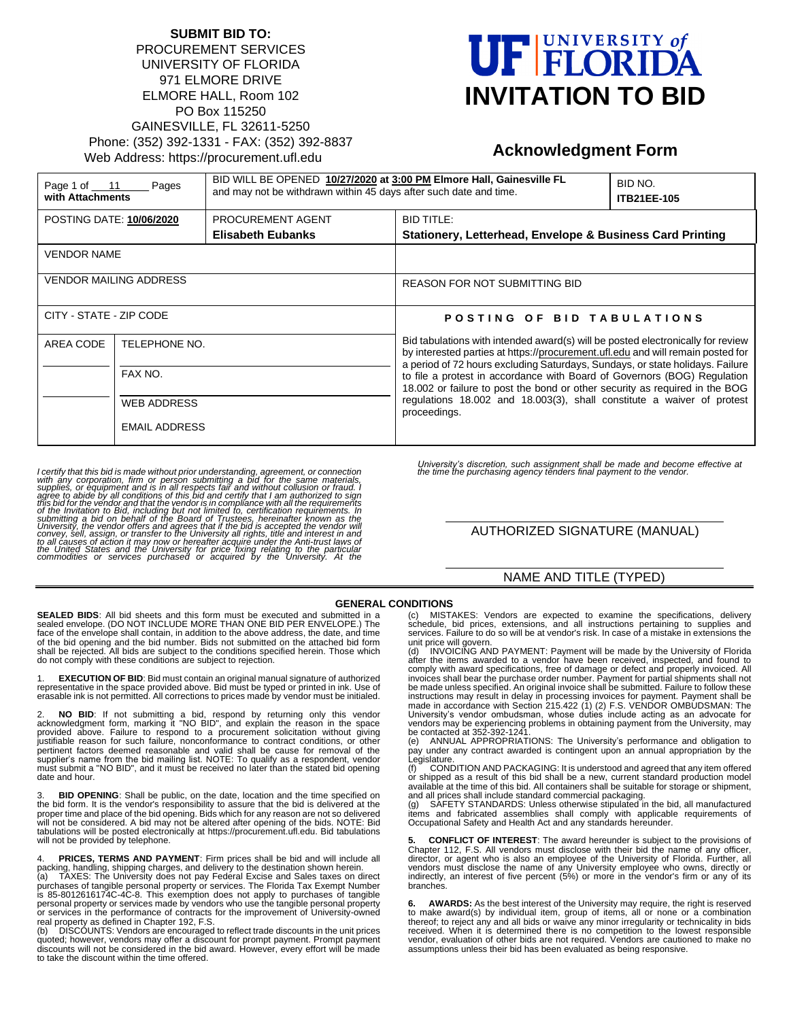#### **SUBMIT BID TO:** PROCUREMENT SERVICES UNIVERSITY OF FLORIDA 971 ELMORE DRIVE ELMORE HALL, Room 102 PO Box 115250 GAINESVILLE, FL 32611-5250 Phone: (352) 392-1331 - FAX: (352) 392-8837 Web Address: https://procurement.ufl.edu

# UF FLORIDA **INVITATION TO BID**

## **Acknowledgment Form**

| Page 1 of $11$<br>Pages<br>with Attachments |                          | BID WILL BE OPENED 10/27/2020 at 3:00 PM Elmore Hall, Gainesville FL<br>and may not be withdrawn within 45 days after such date and time. |                                                                                                                                                                                                                                                                                                                                                                                                                                                                                                          | BID NO.<br><b>ITB21EE-105</b> |
|---------------------------------------------|--------------------------|-------------------------------------------------------------------------------------------------------------------------------------------|----------------------------------------------------------------------------------------------------------------------------------------------------------------------------------------------------------------------------------------------------------------------------------------------------------------------------------------------------------------------------------------------------------------------------------------------------------------------------------------------------------|-------------------------------|
| <b>POSTING DATE: 10/06/2020</b>             |                          | PROCUREMENT AGENT<br><b>Elisabeth Eubanks</b>                                                                                             | <b>BID TITLE:</b><br>Stationery, Letterhead, Envelope & Business Card Printing                                                                                                                                                                                                                                                                                                                                                                                                                           |                               |
| <b>VENDOR NAME</b>                          |                          |                                                                                                                                           |                                                                                                                                                                                                                                                                                                                                                                                                                                                                                                          |                               |
| VENDOR MAILING ADDRESS                      |                          |                                                                                                                                           | <b>REASON FOR NOT SUBMITTING BID</b>                                                                                                                                                                                                                                                                                                                                                                                                                                                                     |                               |
| CITY - STATE - ZIP CODE                     |                          |                                                                                                                                           | POSTING OF BID TABULATIONS                                                                                                                                                                                                                                                                                                                                                                                                                                                                               |                               |
| AREA CODE                                   | TELEPHONE NO.<br>FAX NO. |                                                                                                                                           | Bid tabulations with intended award(s) will be posted electronically for review<br>by interested parties at https://procurement.ufl.edu and will remain posted for<br>a period of 72 hours excluding Saturdays, Sundays, or state holidays. Failure<br>to file a protest in accordance with Board of Governors (BOG) Regulation<br>18.002 or failure to post the bond or other security as required in the BOG<br>regulations 18.002 and 18.003(3), shall constitute a waiver of protest<br>proceedings. |                               |
|                                             |                          |                                                                                                                                           |                                                                                                                                                                                                                                                                                                                                                                                                                                                                                                          |                               |
|                                             | <b>WEB ADDRESS</b>       |                                                                                                                                           |                                                                                                                                                                                                                                                                                                                                                                                                                                                                                                          |                               |
|                                             | <b>EMAIL ADDRESS</b>     |                                                                                                                                           |                                                                                                                                                                                                                                                                                                                                                                                                                                                                                                          |                               |

I certify that this bid is made without prior understanding, agreement, or connection<br>with any corporation, firm or person submitting a bid reference to abla supplies, or equipment and is in all respects fair and without c

*University's discretion, such assignment shall be made and become effective at the time the purchasing agency tenders final payment to the vendor.*

#### AUTHORIZED SIGNATURE (MANUAL)

#### NAME AND TITLE (TYPED)

#### **GENERAL CONDITIONS**

**SEALED BIDS**: All bid sheets and this form must be executed and submitted in a sealed envelope. (DO NOT INCLUDE MORE THAN ONE BID PER ENVELOPE.) The face of the envelope shall contain, in addition to the above address, the date, and time of the bid opening and the bid number. Bids not submitted on the attached bid form shall be rejected. All bids are subject to the conditions specified herein. Those which do not comply with these conditions are subject to rejection.

1. **EXECUTION OF BID**: Bid must contain an original manual signature of authorized<br>representative in the space provided above. Bid must be typed or printed in ink. Use of<br>erasable ink is not permitted. All correctio

2. **NO BID**: If not submitting a bid, respond by returning only this vendor acknowledgment form, marking it "NO BID", and explain the reason in the space provided above. Failure to respond to a procurement solicitation without giving justifiable reason for such failure, nonconformance to contract conditions, or other pertinent factors deemed reasonable and valid shall be cause for removal of the<br>supplier's name from the bid mailing list. NOTE: To qualify as a respondent, vendor<br>must submit a "NO BID", and it must be received no later t date and hour.

**BID OPENING:** Shall be public, on the date, location and the time specified on the bid form. It is the vendor's responsibility to assure that the bid is delivered at the proper time and place of the bid opening. Bids which for any reason are not so delivered will not be considered. A bid may not be altered after opening of the bids. NOTE: Bid tabulations will be posted electronically at https://procurement.ufl.edu. Bid tabulations will not be provided by telephone.

4. **PRICES, TERMS AND PAYMENT**: Firm prices shall be bid and will include all packing, handling, shipping charges, and delivery to the destination shown herein.<br>(a) TAXES: The University does not pay Federal Excise and Sal

DISCOUNTS: Vendors are encouraged to reflect trade discounts in the unit prices quoted; however, vendors may offer a discount for prompt payment. Prompt payment discounts will not be considered in the bid award. However, every effort will be made to take the discount within the time offered.

(c) MISTAKES: Vendors are expected to examine the specifications, delivery schedule, bid prices, extensions, and all instructions pertaining to supplies and services. Failure to do so will be at vendor's risk. In case of a mistake in extensions the unit price will govern.

INVOICING AND PAYMENT: Payment will be made by the University of Florida after the items awarded to a vendor have been received, inspected, and found to comply with award specifications, free of damage or defect and properly invoiced. All invoices shall bear the purchase order number. Payment for partial shipments shall not be made unless specified. An original invoice shall be submitted. Failure to follow these instructions may result in delay in processing invoices for payment. Payment shall be made in accordance with Section 215.422 (1) (2) F.S. VENDOR OMBUDSMAN: The<br>University's vendor ombudsman, whose duties include acting as an advocate for<br>vendors may be experiencing problems in obtaining payment from the Un be contacted at 352-392-1241<br>(e) ANNUAL APPROPRIAT

(e) ANNUAL APPROPRIATIONS: The University's performance and obligation to pay under any contract awarded is contingent upon an annual appropriation by the Legislature.

(f) CONDITION AND PACKAGING: It is understood and agreed that any item offered or shipped as a result of this bid shall be a new, current standard production model available at the time of this bid. All containers shall be suitable for storage or shipment, and all prices shall include standard commercial packaging.

(g) SAFETY STANDARDS: Unless otherwise stipulated in the bid, all manufactured items and fabricated assemblies shall comply with applicable requirements of Occupational Safety and Health Act and any standards hereunder.

**5. CONFLICT OF INTEREST**: The award hereunder is subject to the provisions of Chapter 112, F.S. All vendors must disclose with their bid the name of any officer, or agent who is also an employee of the University of Finder. all director, or agent who is also an employee of the University of Pinders, branches.

**6.** AWARDS: As the best interest of the University may require, the right is reserved to make award(s) by individual item, group of items, all or none or a combination thereof; to reject any and all bids or waive any mino assumptions unless their bid has been evaluated as being responsive.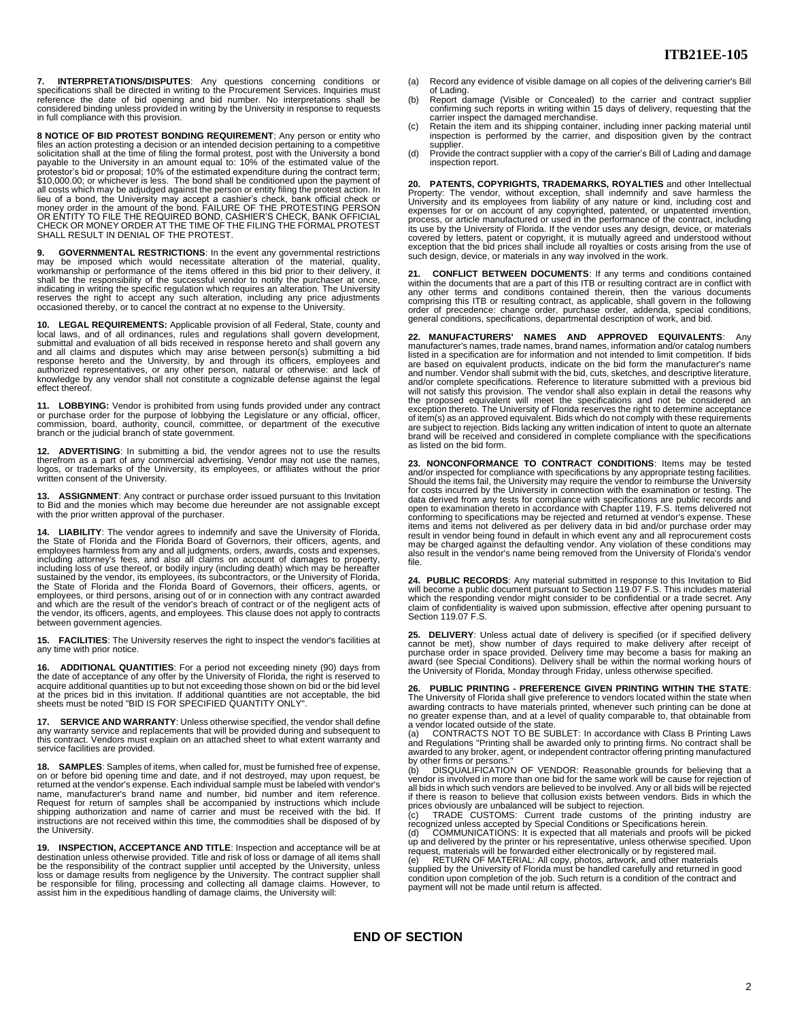**7. INTERPRETATIONS/DISPUTES**: Any questions concerning conditions or specifications shall be directed in writing to the Procurement Services. Inquiries must reference the date of bid opening and bid number. No interpretations shall be considered binding unless provided in writing by the University in response to requests in full compliance with this provision.

**8 NOTICE OF BID PROTEST BONDING REQUIREMENT**; Any person or entity who files an action protesting a decision or an intended decision pertaining to a competitive solicitation shall at the time of filing the formal protest, post with the University a bond payable to the University in an amount equal to: 10% of the estimated value of the<br>protestor's bid or proposal; 10% of the estimated expenditure during the contract term;<br>\$10,000.00; or whichever is less. The bond shall b all costs which may be adjudged against the person or entity filing the protest action. In lieu of a bond, the University may accept a cashier's check, bank official check or<br>money order in the amount of the bond. FAILURE OF THE PROTESTING PERSON<br>OR ENTITY TO FILE THE REQUIRED BOND, CASHIER'S CHECK, BANK OFFICIA

**9. GOVERNMENTAL RESTRICTIONS**: In the event any governmental restrictions may be imposed which would necessitate alteration of the material, quality, workmanship or performance of the items offered in this bid prior to their delivery, it<br>shall be the responsibility of the successful vendor to notify the purchaser at once,<br>indicating in writing the specific regulation wh reserves the right to accept any such alteration, including any price adjustments occasioned thereby, or to cancel the contract at no expense to the University.

**10. LEGAL REQUIREMENTS:** Applicable provision of all Federal, State, county and<br>local laws, and of all ordinances, rules and regulations shall govern development,<br>submittal and evaluation of all bids received in response and all claims and disputes which may arise between person(s) submitting a bid<br>response hereto and the University, by and through its officers, employees and<br>authorized representatives, or any other person, natural or othe knowledge by any vendor shall not constitute a cognizable defense against the legal effect thereof.

11. LOBBYING: Vendor is prohibited from using funds provided under any contract<br>or purchase order for the purpose of lobbying the Legislature or any official, officer,<br>commission, board, authority, council, committee, or d

**12. ADVERTISING**: In submitting a bid, the vendor agrees not to use the results<br>therefrom as a part of any commercial advertising. Vendor may not use the names,<br>logos, or trademarks of the University, its employees, or af written consent of the University.

**13. ASSIGNMENT**: Any contract or purchase order issued pursuant to this Invitation<br>to Bid and the monies which may become due hereunder are not assignable except<br>with the prior written approval of the purchaser.

**14. LIABILITY**: The vendor agrees to indemnify and save the University of Florida, the State of Florida and the Florida Board of Governors, their officers, agents, and<br>employees harmless from any and all judgments, orders, awards, costs and expenses,<br>including attomey's fees, and also all claims on accou between government agencies.

**15. FACILITIES**: The University reserves the right to inspect the vendor's facilities at any time with prior notice.

**16. ADDITIONAL QUANTITIES**: For a period not exceeding ninety (90) days from the date of acceptance of any offer by the University of Florida, the right is reserved to acquire additional quantities up to but not exceeding those shown on bid or the bid level<br>at the prices bid in this invitation. If additional quantities are not acceptable, the bid<br>sheets must be noted "BID IS FOR SPECIFIE

**17. SERVICE AND WARRANTY**: Unless otherwise specified, the vendor shall define<br>any warranty service and replacements that will be provided during and subsequent to<br>this contract. Vendors must explain on an attached sh service facilities are provided.

**18. SAMPLES:** Samples of items, when called for, must be furnished free of expense,<br>on or before bid opening time and date, and if not destroyed, may upon request, be<br>returned at the vendor's expense. Each individual samp name, manufacturer's brand name and number, bid number and item reference.<br>Request for return of samples shall be accompanied by instructions which include<br>shipping authorization and name of carrier and must be received wi instructions are not received within this time, the commodities shall be disposed of by the University.

**19. INSPECTION, ACCEPTANCE AND TITLE**: Inspection and acceptance will be at destination unless otherwise provided. Title and risk of loss or damage of all items shall be the responsibility of the contract supplier until accepted by the University, unless<br>loss or damage results from negligence by the University. The contract supplier shall<br>be responsible for filing, processing and collec

- (a) Record any evidence of visible damage on all copies of the delivering carrier's Bill
- of Lading. (b) Report damage (Visible or Concealed) to the carrier and contract supplier confirming such reports in writing within 15 days of delivery, requesting that the carrier inspect the damaged merchandise.
- (c) Retain the item and its shipping container, including inner packing material until inspection is performed by the carrier, and disposition given by the contract supplier.
- (d) Provide the contract supplier with a copy of the carrier's Bill of Lading and damage inspection report.

**20. PATENTS, COPYRIGHTS, TRADEMARKS, ROYALTIES** and other Intellectual Property: The vendor, without exception, shall indemnify and save harmless the University and its employees from liability of any nature or kind, including cost and expenses for or on account of any copyrighted, patented, covered by letters, patent or copyright, it is mutually agreed and understood without<br>exception that the bid prices shall include all royalties or costs arising from the use of<br>such design, device, or materials in any way

**21. CONFLICT BETWEEN DOCUMENTS**: If any terms and conditions contained within the documents that are a part of this ITB or resulting contract are in conflict with any other terms and conditions contained therein, then the various documents comprising this ITB or resulting contract, as applicable, shall govern in the following order of precedence: change order, purchase order, addenda, special conditions, general conditions, specifications, departmental description of work, and bid.

**22. MANUFACTURERS' NAMES AND APPROVED EQUIVALENTS**: Any manufacturer's names, trade names, brand names, information and/or catalog numbers listed in a specification are for information and not intended to limit competition. If bids are based on equivalent products, indicate on the bid form the manufacturer's name and number. Vendor shall submit with the bid, cuts, sketches, and descriptive literature, and/or complete specifications. Reference to literature submitted with a previous bid will not satisfy this provision. The vendor shall also explain in detail the reasons why the proposed equivalent will meet the specifications and not be considered an<br>exception thereto. The University of Florida reserves the right to determine acceptance<br>of item(s) as an approved equivalent. Bids which do not are subject to rejection. Bids lacking any written indication of intent to quote an alternate brand will be received and considered in complete compliance with the specifications as listed on the bid form.

**23. NONCONFORMANCE TO CONTRACT CONDITIONS**: Items may be tested and/or inspected for compliance with specifications by any appropriate testing facilities. Should the items fail, the University may require the vendor to reimburse the University<br>for costs incurred by the University in connection with the examination or testing. The<br>data derived from any tests for compliance wi result in vendor being found in default in which event any and all reprocurement costs<br>may be charged against the defaulting vendor. Any violation of these conditions may<br>also result in the vendor's name being removed from file.

**24. PUBLIC RECORDS**: Any material submitted in response to this Invitation to Bid<br>will become a public document pursuant to Section 119.07 F.S. This includes material<br>which the responding vendor might consider to be confi claim of confidentiality is waived upon submission, effective after opening pursuant to Section 119.07 F.S.

25. DELIVERY: Unless actual date of delivery is specified (or if specified delivery cannot be met), show number of days required to make delivery after receipt of purchase order in space provided. Delivery time may become

**26. PUBLIC PRINTING - PREFERENCE GIVEN PRINTING WITHIN THE STATE**: The University of Florida shall give preference to vendors located within the state when<br>awarding contracts to have materials printed, whenever such printing can be done at<br>no greater expense than, and at a level of qualit a vendor located outside of the state.

(a) CONTRACTS NOT TO BE SUBLET: In accordance with Class B Printing Laws<br>and Regulations "Printing shall be awarded only to printing firms. No contract shall be<br>awarded to any broker, agent, or independent contractor offer

by other firms or persons."<br>(b) DISQUALIFICATION OF VENDOR: Reasonable grounds for believing that a<br>vendor is involved in more than one bid for the same work will be cause for rejection of all bids in which such vendors are believed to be involved. Any or all bids will be rejected if there is reason to believe that collusion exists between vendors. Bids in which the

prices obviously are unbalanced will be subject to rejection.<br>(c) TRADE CUSTOMS: Current trade customs of the printing industry are<br>recognized unless accepted by Special Conditions or Specifications herein.<br>(d) COMMUNICA

up and delivered by the printer or his representative, unless otherwise specified. Upon request, materials will be forwarded either electronically or by registered mail.

(e) RETURN OF MATERIAL: All copy, photos, artwork, and other materials<br>supplied by the University of Florida must be handled carefully and returned in good<br>condition upon completion of the job. Such return is a condition payment will not be made until return is affected.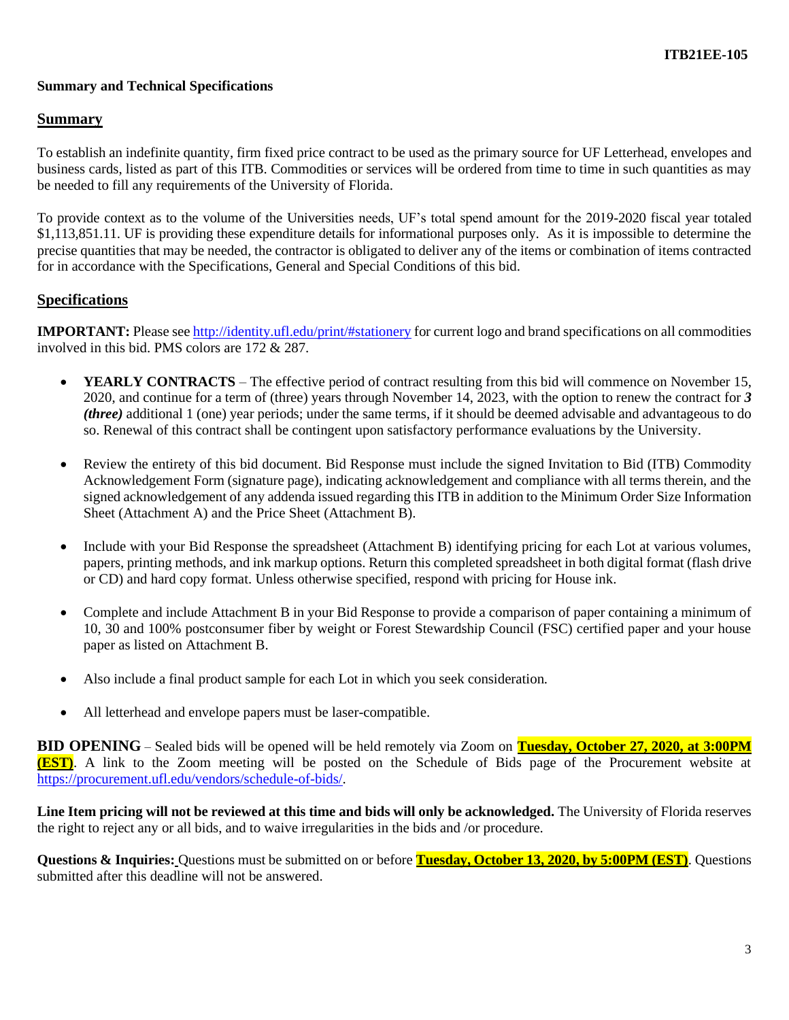## **Summary and Technical Specifications**

#### **Summary**

To establish an indefinite quantity, firm fixed price contract to be used as the primary source for UF Letterhead, envelopes and business cards, listed as part of this ITB. Commodities or services will be ordered from time to time in such quantities as may be needed to fill any requirements of the University of Florida.

To provide context as to the volume of the Universities needs, UF's total spend amount for the 2019-2020 fiscal year totaled \$1,113,851.11. UF is providing these expenditure details for informational purposes only. As it is impossible to determine the precise quantities that may be needed, the contractor is obligated to deliver any of the items or combination of items contracted for in accordance with the Specifications, General and Special Conditions of this bid.

#### **Specifications**

**IMPORTANT:** Please see<http://identity.ufl.edu/print/#stationery> for current logo and brand specifications on all commodities involved in this bid. PMS colors are 172 & 287.

- **YEARLY CONTRACTS** The effective period of contract resulting from this bid will commence on November 15, 2020, and continue for a term of (three) years through November 14, 2023, with the option to renew the contract for *3 (three)* additional 1 (one) year periods; under the same terms, if it should be deemed advisable and advantageous to do so. Renewal of this contract shall be contingent upon satisfactory performance evaluations by the University.
- Review the entirety of this bid document. Bid Response must include the signed Invitation to Bid (ITB) Commodity Acknowledgement Form (signature page), indicating acknowledgement and compliance with all terms therein, and the signed acknowledgement of any addenda issued regarding this ITB in addition to the Minimum Order Size Information Sheet (Attachment A) and the Price Sheet (Attachment B).
- Include with your Bid Response the spreadsheet (Attachment B) identifying pricing for each Lot at various volumes, papers, printing methods, and ink markup options. Return this completed spreadsheet in both digital format (flash drive or CD) and hard copy format. Unless otherwise specified, respond with pricing for House ink.
- Complete and include Attachment B in your Bid Response to provide a comparison of paper containing a minimum of 10, 30 and 100% postconsumer fiber by weight or Forest Stewardship Council (FSC) certified paper and your house paper as listed on Attachment B.
- Also include a final product sample for each Lot in which you seek consideration.
- All letterhead and envelope papers must be laser-compatible.

**BID OPENING** – Sealed bids will be opened will be held remotely via Zoom on **Tuesday, October 27, 2020, at 3:00PM (EST)**. A link to the Zoom meeting will be posted on the Schedule of Bids page of the Procurement website at [https://procurement.ufl.edu/vendors/schedule-of-bids/.](https://procurement.ufl.edu/vendors/schedule-of-bids/)

**Line Item pricing will not be reviewed at this time and bids will only be acknowledged.** The University of Florida reserves the right to reject any or all bids, and to waive irregularities in the bids and /or procedure.

**Questions & Inquiries:** Questions must be submitted on or before **Tuesday, October 13, 2020, by 5:00PM (EST)**. Questions submitted after this deadline will not be answered.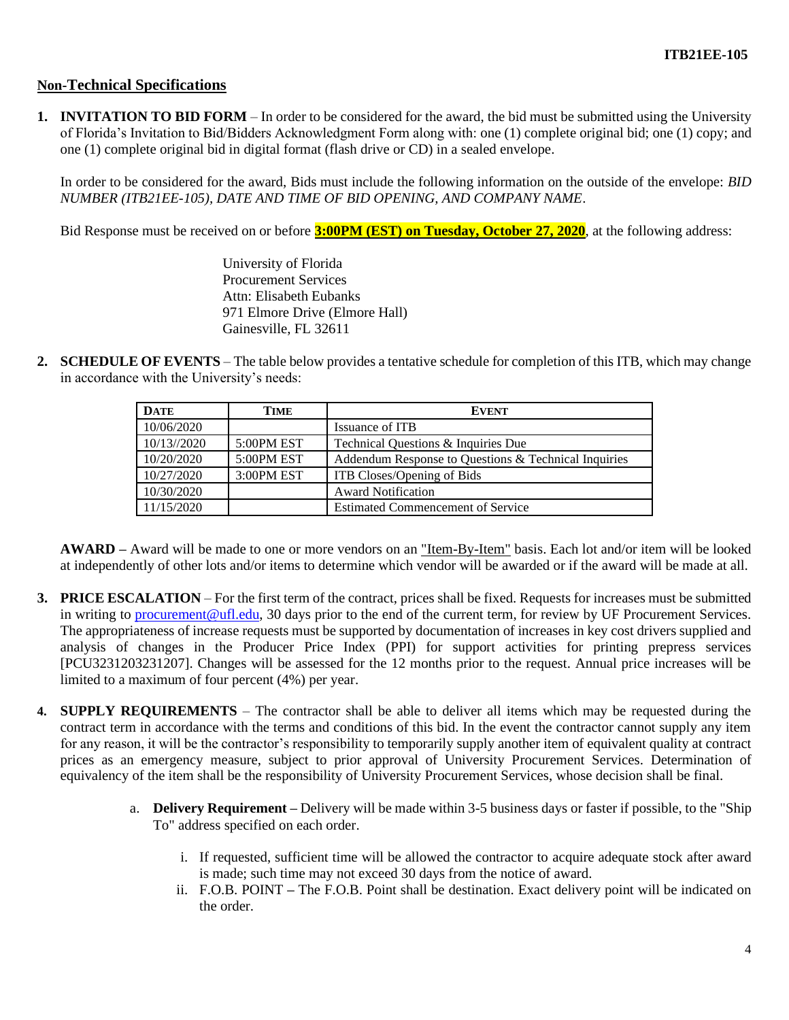## **Non-Technical Specifications**

**1. INVITATION TO BID FORM** – In order to be considered for the award, the bid must be submitted using the University of Florida's Invitation to Bid/Bidders Acknowledgment Form along with: one (1) complete original bid; one (1) copy; and one (1) complete original bid in digital format (flash drive or CD) in a sealed envelope.

In order to be considered for the award, Bids must include the following information on the outside of the envelope: *BID NUMBER (ITB21EE-105), DATE AND TIME OF BID OPENING, AND COMPANY NAME*.

Bid Response must be received on or before **3:00PM (EST) on Tuesday, October 27, 2020**, at the following address:

University of Florida Procurement Services Attn: Elisabeth Eubanks 971 Elmore Drive (Elmore Hall) Gainesville, FL 32611

**2. SCHEDULE OF EVENTS** – The table below provides a tentative schedule for completion of this ITB, which may change in accordance with the University's needs:

| <b>DATE</b> | TIME          | <b>EVENT</b>                                         |
|-------------|---------------|------------------------------------------------------|
| 10/06/2020  |               | Issuance of ITB                                      |
| 10/13//2020 | 5:00PM EST    | Technical Questions & Inquiries Due                  |
| 10/20/2020  | $5:00$ PM EST | Addendum Response to Questions & Technical Inquiries |
| 10/27/2020  | 3:00PM EST    | <b>ITB</b> Closes/Opening of Bids                    |
| 10/30/2020  |               | <b>Award Notification</b>                            |
| 11/15/2020  |               | <b>Estimated Commencement of Service</b>             |

**AWARD –** Award will be made to one or more vendors on an "Item-By-Item" basis. Each lot and/or item will be looked at independently of other lots and/or items to determine which vendor will be awarded or if the award will be made at all.

- **3. PRICE ESCALATION** For the first term of the contract, prices shall be fixed. Requests for increases must be submitted in writing to [procurement@ufl.edu,](mailto:procurement@ufl.edu) 30 days prior to the end of the current term, for review by UF Procurement Services. The appropriateness of increase requests must be supported by documentation of increases in key cost drivers supplied and analysis of changes in the Producer Price Index (PPI) for support activities for printing prepress services [PCU3231203231207]. Changes will be assessed for the 12 months prior to the request. Annual price increases will be limited to a maximum of four percent (4%) per year.
- **4. SUPPLY REQUIREMENTS** The contractor shall be able to deliver all items which may be requested during the contract term in accordance with the terms and conditions of this bid. In the event the contractor cannot supply any item for any reason, it will be the contractor's responsibility to temporarily supply another item of equivalent quality at contract prices as an emergency measure, subject to prior approval of University Procurement Services. Determination of equivalency of the item shall be the responsibility of University Procurement Services, whose decision shall be final.
	- a. **Delivery Requirement –** Delivery will be made within 3-5 business days or faster if possible, to the "Ship To" address specified on each order.
		- i. If requested, sufficient time will be allowed the contractor to acquire adequate stock after award is made; such time may not exceed 30 days from the notice of award.
		- ii. F.O.B. POINT **–** The F.O.B. Point shall be destination. Exact delivery point will be indicated on the order.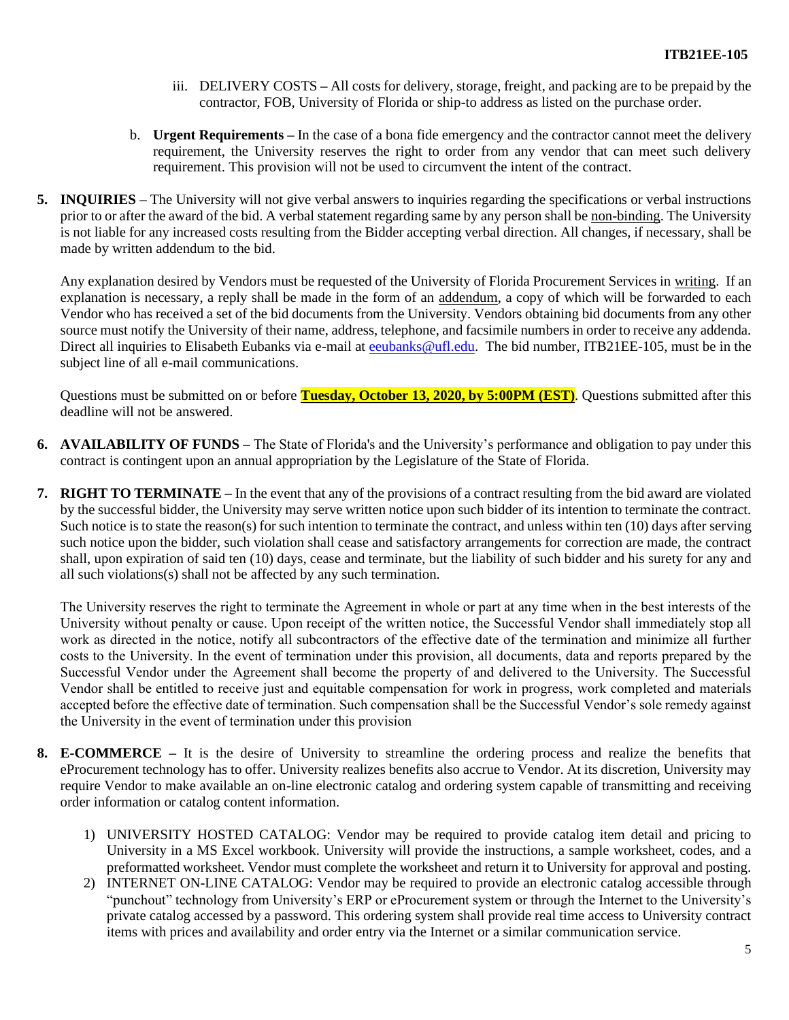- iii. DELIVERY COSTS **–** All costs for delivery, storage, freight, and packing are to be prepaid by the contractor, FOB, University of Florida or ship-to address as listed on the purchase order.
- b. **Urgent Requirements –** In the case of a bona fide emergency and the contractor cannot meet the delivery requirement, the University reserves the right to order from any vendor that can meet such delivery requirement. This provision will not be used to circumvent the intent of the contract.
- **5. INQUIRIES –** The University will not give verbal answers to inquiries regarding the specifications or verbal instructions prior to or after the award of the bid. A verbal statement regarding same by any person shall be non-binding. The University is not liable for any increased costs resulting from the Bidder accepting verbal direction. All changes, if necessary, shall be made by written addendum to the bid.

Any explanation desired by Vendors must be requested of the University of Florida Procurement Services in writing. If an explanation is necessary, a reply shall be made in the form of an addendum, a copy of which will be forwarded to each Vendor who has received a set of the bid documents from the University. Vendors obtaining bid documents from any other source must notify the University of their name, address, telephone, and facsimile numbers in order to receive any addenda. Direct all inquiries to Elisabeth Eubanks via e-mail at [eeubanks@ufl.edu.](mailto:eeubanks@ufl.edu) The bid number, ITB21EE-105, must be in the subject line of all e-mail communications.

Questions must be submitted on or before **Tuesday, October 13, 2020, by 5:00PM (EST)**. Questions submitted after this deadline will not be answered.

- **6. AVAILABILITY OF FUNDS –** The State of Florida's and the University's performance and obligation to pay under this contract is contingent upon an annual appropriation by the Legislature of the State of Florida.
- **7. RIGHT TO TERMINATE** In the event that any of the provisions of a contract resulting from the bid award are violated by the successful bidder, the University may serve written notice upon such bidder of its intention to terminate the contract. Such notice is to state the reason(s) for such intention to terminate the contract, and unless within ten (10) days after serving such notice upon the bidder, such violation shall cease and satisfactory arrangements for correction are made, the contract shall, upon expiration of said ten (10) days, cease and terminate, but the liability of such bidder and his surety for any and all such violations(s) shall not be affected by any such termination.

The University reserves the right to terminate the Agreement in whole or part at any time when in the best interests of the University without penalty or cause. Upon receipt of the written notice, the Successful Vendor shall immediately stop all work as directed in the notice, notify all subcontractors of the effective date of the termination and minimize all further costs to the University. In the event of termination under this provision, all documents, data and reports prepared by the Successful Vendor under the Agreement shall become the property of and delivered to the University. The Successful Vendor shall be entitled to receive just and equitable compensation for work in progress, work completed and materials accepted before the effective date of termination. Such compensation shall be the Successful Vendor's sole remedy against the University in the event of termination under this provision

- **8. E-COMMERCE –** It is the desire of University to streamline the ordering process and realize the benefits that eProcurement technology has to offer. University realizes benefits also accrue to Vendor. At its discretion, University may require Vendor to make available an on-line electronic catalog and ordering system capable of transmitting and receiving order information or catalog content information.
	- 1) UNIVERSITY HOSTED CATALOG: Vendor may be required to provide catalog item detail and pricing to University in a MS Excel workbook. University will provide the instructions, a sample worksheet, codes, and a preformatted worksheet. Vendor must complete the worksheet and return it to University for approval and posting.
	- 2) INTERNET ON-LINE CATALOG: Vendor may be required to provide an electronic catalog accessible through "punchout" technology from University's ERP or eProcurement system or through the Internet to the University's private catalog accessed by a password. This ordering system shall provide real time access to University contract items with prices and availability and order entry via the Internet or a similar communication service.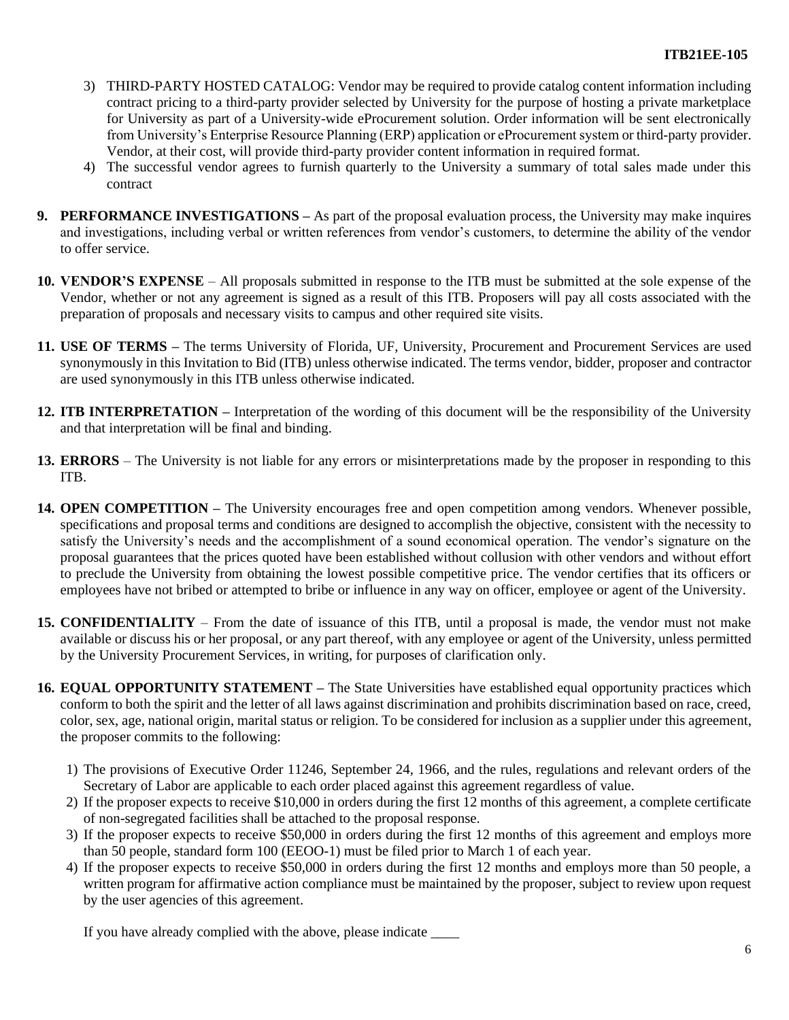- 3) THIRD-PARTY HOSTED CATALOG: Vendor may be required to provide catalog content information including contract pricing to a third-party provider selected by University for the purpose of hosting a private marketplace for University as part of a University-wide eProcurement solution. Order information will be sent electronically from University's Enterprise Resource Planning (ERP) application or eProcurement system or third-party provider. Vendor, at their cost, will provide third-party provider content information in required format.
- 4) The successful vendor agrees to furnish quarterly to the University a summary of total sales made under this contract
- **9. PERFORMANCE INVESTIGATIONS –** As part of the proposal evaluation process, the University may make inquires and investigations, including verbal or written references from vendor's customers, to determine the ability of the vendor to offer service.
- **10. VENDOR'S EXPENSE**  All proposals submitted in response to the ITB must be submitted at the sole expense of the Vendor, whether or not any agreement is signed as a result of this ITB. Proposers will pay all costs associated with the preparation of proposals and necessary visits to campus and other required site visits.
- **11. USE OF TERMS –** The terms University of Florida, UF, University, Procurement and Procurement Services are used synonymously in this Invitation to Bid (ITB) unless otherwise indicated. The terms vendor, bidder, proposer and contractor are used synonymously in this ITB unless otherwise indicated.
- **12. ITB INTERPRETATION –** Interpretation of the wording of this document will be the responsibility of the University and that interpretation will be final and binding.
- **13. ERRORS**  The University is not liable for any errors or misinterpretations made by the proposer in responding to this ITB.
- **14. OPEN COMPETITION –** The University encourages free and open competition among vendors. Whenever possible, specifications and proposal terms and conditions are designed to accomplish the objective, consistent with the necessity to satisfy the University's needs and the accomplishment of a sound economical operation. The vendor's signature on the proposal guarantees that the prices quoted have been established without collusion with other vendors and without effort to preclude the University from obtaining the lowest possible competitive price. The vendor certifies that its officers or employees have not bribed or attempted to bribe or influence in any way on officer, employee or agent of the University.
- **15. CONFIDENTIALITY**  From the date of issuance of this ITB, until a proposal is made, the vendor must not make available or discuss his or her proposal, or any part thereof, with any employee or agent of the University, unless permitted by the University Procurement Services, in writing, for purposes of clarification only.
- **16. EQUAL OPPORTUNITY STATEMENT –** The State Universities have established equal opportunity practices which conform to both the spirit and the letter of all laws against discrimination and prohibits discrimination based on race, creed, color, sex, age, national origin, marital status or religion. To be considered for inclusion as a supplier under this agreement, the proposer commits to the following:
	- 1) The provisions of Executive Order 11246, September 24, 1966, and the rules, regulations and relevant orders of the Secretary of Labor are applicable to each order placed against this agreement regardless of value.
	- 2) If the proposer expects to receive \$10,000 in orders during the first 12 months of this agreement, a complete certificate of non-segregated facilities shall be attached to the proposal response.
	- 3) If the proposer expects to receive \$50,000 in orders during the first 12 months of this agreement and employs more than 50 people, standard form 100 (EEOO-1) must be filed prior to March 1 of each year.
	- 4) If the proposer expects to receive \$50,000 in orders during the first 12 months and employs more than 50 people, a written program for affirmative action compliance must be maintained by the proposer, subject to review upon request by the user agencies of this agreement.

If you have already complied with the above, please indicate \_\_\_\_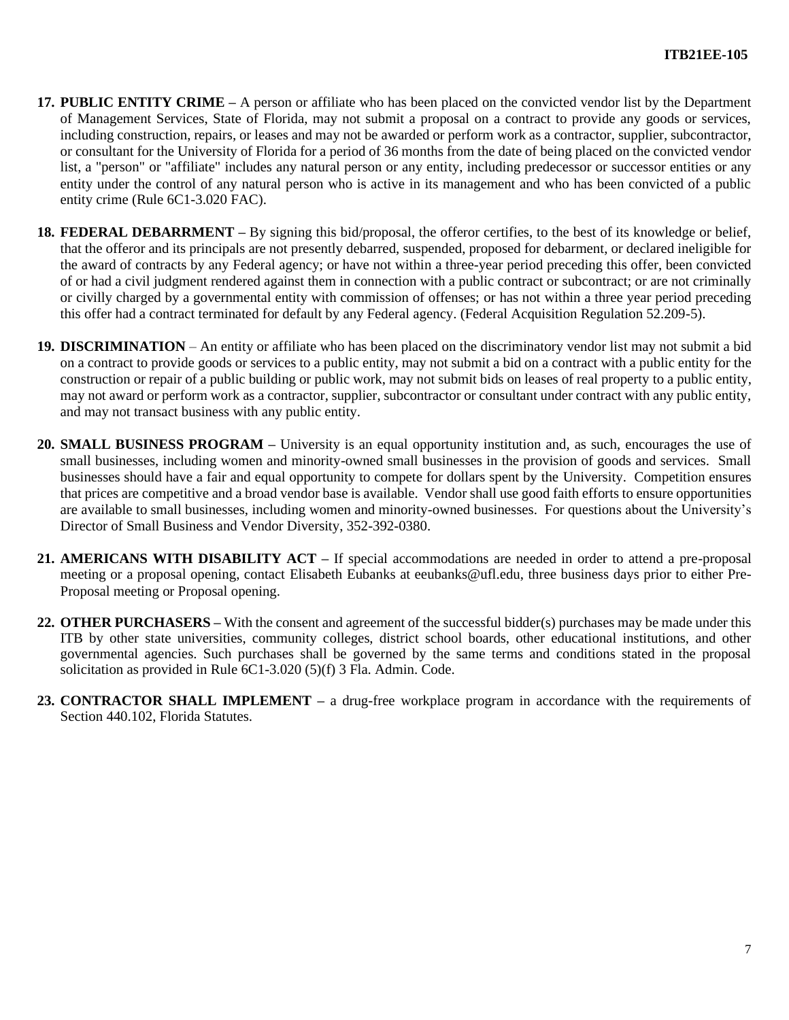- **17. PUBLIC ENTITY CRIME –** A person or affiliate who has been placed on the convicted vendor list by the Department of Management Services, State of Florida, may not submit a proposal on a contract to provide any goods or services, including construction, repairs, or leases and may not be awarded or perform work as a contractor, supplier, subcontractor, or consultant for the University of Florida for a period of 36 months from the date of being placed on the convicted vendor list, a "person" or "affiliate" includes any natural person or any entity, including predecessor or successor entities or any entity under the control of any natural person who is active in its management and who has been convicted of a public entity crime (Rule 6C1-3.020 FAC).
- **18. FEDERAL DEBARRMENT –** By signing this bid/proposal, the offeror certifies, to the best of its knowledge or belief, that the offeror and its principals are not presently debarred, suspended, proposed for debarment, or declared ineligible for the award of contracts by any Federal agency; or have not within a three-year period preceding this offer, been convicted of or had a civil judgment rendered against them in connection with a public contract or subcontract; or are not criminally or civilly charged by a governmental entity with commission of offenses; or has not within a three year period preceding this offer had a contract terminated for default by any Federal agency. (Federal Acquisition Regulation 52.209-5).
- **19. DISCRIMINATION** An entity or affiliate who has been placed on the discriminatory vendor list may not submit a bid on a contract to provide goods or services to a public entity, may not submit a bid on a contract with a public entity for the construction or repair of a public building or public work, may not submit bids on leases of real property to a public entity, may not award or perform work as a contractor, supplier, subcontractor or consultant under contract with any public entity, and may not transact business with any public entity.
- **20. SMALL BUSINESS PROGRAM –** University is an equal opportunity institution and, as such, encourages the use of small businesses, including women and minority-owned small businesses in the provision of goods and services. Small businesses should have a fair and equal opportunity to compete for dollars spent by the University. Competition ensures that prices are competitive and a broad vendor base is available. Vendor shall use good faith efforts to ensure opportunities are available to small businesses, including women and minority-owned businesses. For questions about the University's Director of Small Business and Vendor Diversity, 352-392-0380.
- **21. AMERICANS WITH DISABILITY ACT –** If special accommodations are needed in order to attend a pre-proposal meeting or a proposal opening, contact Elisabeth Eubanks at eeubanks@ufl.edu, three business days prior to either Pre-Proposal meeting or Proposal opening.
- **22. OTHER PURCHASERS –** With the consent and agreement of the successful bidder(s) purchases may be made under this ITB by other state universities, community colleges, district school boards, other educational institutions, and other governmental agencies. Such purchases shall be governed by the same terms and conditions stated in the proposal solicitation as provided in Rule 6C1-3.020 (5)(f) 3 Fla. Admin. Code.
- **23. CONTRACTOR SHALL IMPLEMENT –** a drug-free workplace program in accordance with the requirements of Section 440.102, Florida Statutes.